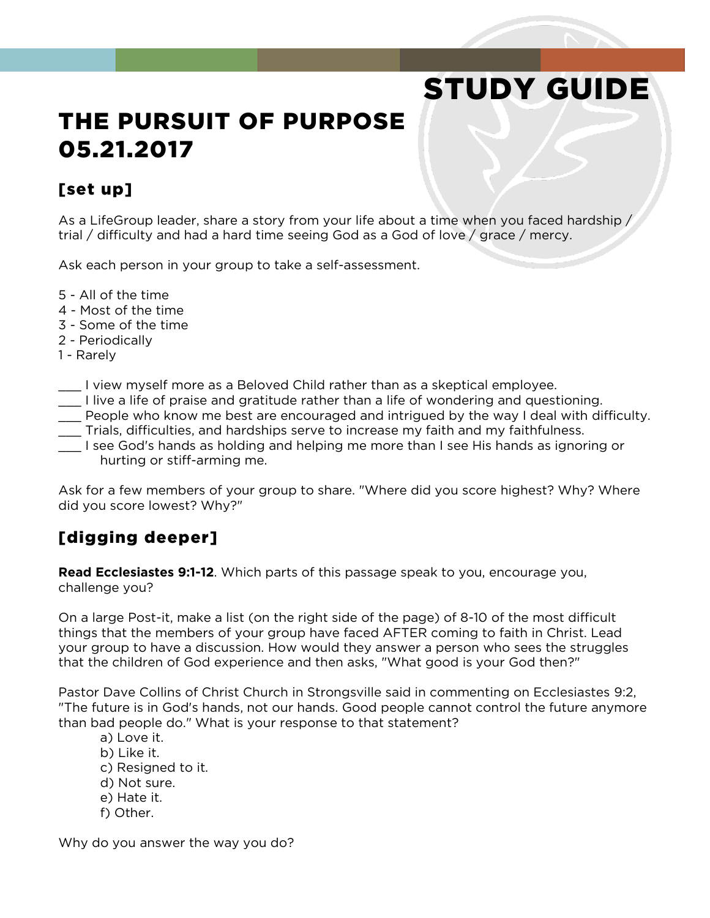# STUDY GUIDE

## THE PURSUIT OF PURPOSE 05.21.2017

#### [set up]

As a LifeGroup leader, share a story from your life about a time when you faced hardship / trial / difficulty and had a hard time seeing God as a God of love / grace / mercy.

Ask each person in your group to take a self-assessment.

- 5 All of the time
- 4 Most of the time
- 3 Some of the time
- 2 Periodically
- 1 Rarely
- \_\_\_ I view myself more as a Beloved Child rather than as a skeptical employee.
- \_\_\_ I live a life of praise and gratitude rather than a life of wondering and questioning.
- \_\_\_ People who know me best are encouraged and intrigued by the way I deal with difficulty.
- \_\_\_ Trials, difficulties, and hardships serve to increase my faith and my faithfulness.
- \_\_\_ I see God's hands as holding and helping me more than I see His hands as ignoring or hurting or stiff-arming me.

Ask for a few members of your group to share. "Where did you score highest? Why? Where did you score lowest? Why?"

### [digging deeper]

**Read Ecclesiastes 9:1-12**. Which parts of this passage speak to you, encourage you, challenge you?

On a large Post-it, make a list (on the right side of the page) of 8-10 of the most difficult things that the members of your group have faced AFTER coming to faith in Christ. Lead your group to have a discussion. How would they answer a person who sees the struggles that the children of God experience and then asks, "What good is your God then?"

Pastor Dave Collins of Christ Church in Strongsville said in commenting on Ecclesiastes 9:2, "The future is in God's hands, not our hands. Good people cannot control the future anymore than bad people do." What is your response to that statement?

- a) Love it.
- b) Like it.
- c) Resigned to it.
- d) Not sure.
- e) Hate it.
- f) Other.

Why do you answer the way you do?